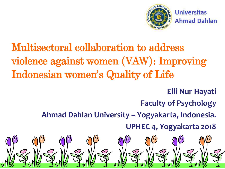

**Universitas Ahmad Dahlan** 

#### Multisectoral collaboration to address violence against women (VAW): Improving Indonesian women's Quality of Life

**Elli Nur Hayati**

**Faculty of Psychology**

**Ahmad Dahlan University – Yogyakarta, Indonesia.**

**UPHEC 4, Yogyakarta 2018**

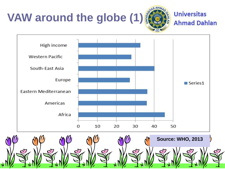





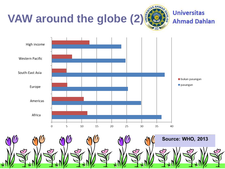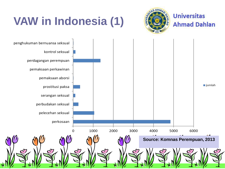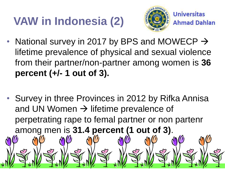## **VAW in Indonesia (2)**



**Universitas** 

**Ahmad Dahlan** 

- National survey in 2017 by BPS and MOWECP  $\rightarrow$ lifetime prevalence of physical and sexual violence from their partner/non-partner among women is **36 percent (+/- 1 out of 3).**
- Survey in three Provinces in 2012 by Rifka Annisa and UN Women  $\rightarrow$  lifetime prevalence of perpetrating rape to femal partner or non partenr among men is **31.4 percent (1 out of 3)**.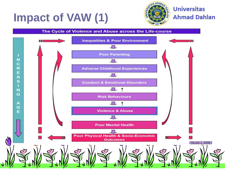#### **Impact of VAW (1)**



#### The Cycle of Violence and Abuse across the Life-course

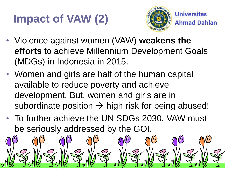## **Impact of VAW (2)**



- Violence against women (VAW) **weakens the efforts** to achieve Millennium Development Goals (MDGs) in Indonesia in 2015.
- Women and girls are half of the human capital available to reduce poverty and achieve development. But, women and girls are in subordinate position  $\rightarrow$  high risk for being abused!
- To further achieve the UN SDGs 2030, VAW must be seriously addressed by the GOI.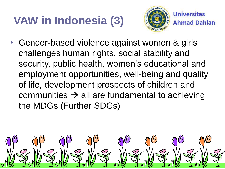# **VAW in Indonesia (3)**



**Universitas Ahmad Dahlan** 

• Gender-based violence against women & girls challenges human rights, social stability and security, public health, women's educational and employment opportunities, well-being and quality of life, development prospects of children and communities  $\rightarrow$  all are fundamental to achieving the MDGs (Further SDGs)

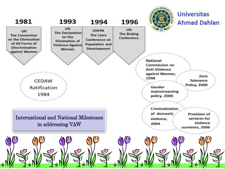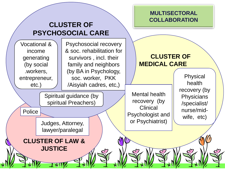![](_page_9_Figure_0.jpeg)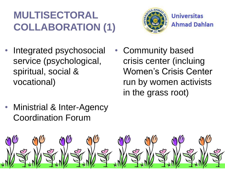#### **MULTISECTORAL COLLABORATION (1)**

![](_page_10_Picture_1.jpeg)

- Integrated psychosocial service (psychological, spiritual, social & vocational)
- Community based crisis center (incluing Women's Crisis Center run by women activists in the grass root)
- Ministrial & Inter-Agency Coordination Forum

![](_page_10_Picture_6.jpeg)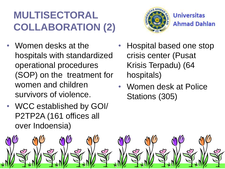#### **MULTISECTORAL COLLABORATION (2)**

- Women desks at the hospitals with standardized operational procedures (SOP) on the treatment for women and children survivors of violence.
- WCC established by GOI/ P2TP2A (161 offices all over Indoensia)

![](_page_11_Picture_3.jpeg)

- Hospital based one stop crisis center (Pusat Krisis Terpadu) (64 hospitals)
- Women desk at Police Stations (305)

![](_page_11_Picture_7.jpeg)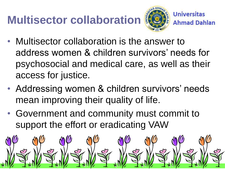# **Multisector collaboration**

![](_page_12_Picture_1.jpeg)

- Multisector collaboration is the answer to address women & children survivors' needs for psychosocial and medical care, as well as their access for justice.
- Addressing women & children survivors' needs mean improving their quality of life.
- Government and community must commit to support the effort or eradicating VAW

![](_page_12_Picture_6.jpeg)